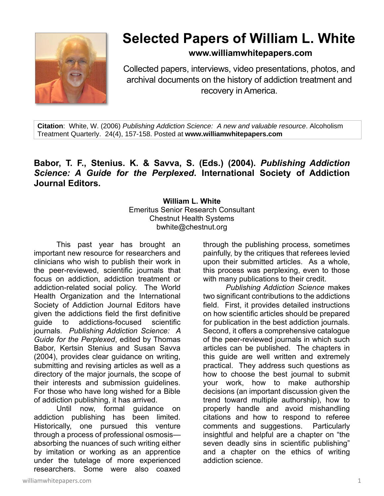

## **Selected Papers of William L. White**

**www.williamwhitepapers.com**

Collected papers, interviews, video presentations, photos, and archival documents on the history of addiction treatment and recovery in America.

**Citation**: White, W. (2006) *Publishing Addiction Science: A new and valuable resource*. Alcoholism Treatment Quarterly. 24(4), 157-158. Posted at **www.williamwhitepapers.com**

## **Babor, T. F., Stenius. K. & Savva, S. (Eds.) (2004).** *Publishing Addiction Science: A Guide for the Perplexed***. International Society of Addiction Journal Editors.**

## **William L. White** Emeritus Senior Research Consultant Chestnut Health Systems bwhite@chestnut.org

This past year has brought an important new resource for researchers and clinicians who wish to publish their work in the peer-reviewed, scientific journals that focus on addiction, addiction treatment or addiction-related social policy. The World Health Organization and the International Society of Addiction Journal Editors have given the addictions field the first definitive guide to addictions-focused scientific journals*. Publishing Addiction Science: A Guide for the Perplexed*, edited by Thomas Babor, Kertsin Stenius and Susan Savva (2004), provides clear guidance on writing, submitting and revising articles as well as a directory of the major journals, the scope of their interests and submission guidelines. For those who have long wished for a Bible of addiction publishing, it has arrived.

Until now, formal guidance on addiction publishing has been limited. Historically, one pursued this venture through a process of professional osmosis absorbing the nuances of such writing either by imitation or working as an apprentice under the tutelage of more experienced researchers. Some were also coaxed

through the publishing process, sometimes painfully, by the critiques that referees levied upon their submitted articles. As a whole, this process was perplexing, even to those with many publications to their credit.

*Publishing Addiction Science* makes two significant contributions to the addictions field. First, it provides detailed instructions on how scientific articles should be prepared for publication in the best addiction journals. Second, it offers a comprehensive catalogue of the peer-reviewed journals in which such articles can be published. The chapters in this guide are well written and extremely practical. They address such questions as how to choose the best journal to submit your work, how to make authorship decisions (an important discussion given the trend toward multiple authorship), how to properly handle and avoid mishandling citations and how to respond to referee comments and suggestions. Particularly insightful and helpful are a chapter on "the seven deadly sins in scientific publishing" and a chapter on the ethics of writing addiction science.